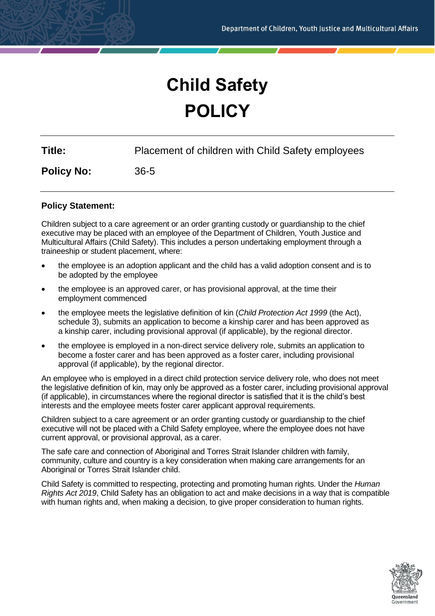# **Child Safety POLICY**

**Title:** Placement of children with Child Safety employees

**Policy No:** 36-5

## **Policy Statement:**

Children subject to a care agreement or an order granting custody or guardianship to the chief executive may be placed with an employee of the Department of Children, Youth Justice and Multicultural Affairs (Child Safety). This includes a person undertaking employment through a traineeship or student placement, where:

- the employee is an adoption applicant and the child has a valid adoption consent and is to be adopted by the employee
- the employee is an approved carer, or has provisional approval, at the time their employment commenced
- the employee meets the legislative definition of kin (*Child Protection Act 1999* (the Act), schedule 3), submits an application to become a kinship carer and has been approved as a kinship carer, including provisional approval (if applicable), by the regional director.
- the employee is employed in a non-direct service delivery role, submits an application to become a foster carer and has been approved as a foster carer, including provisional approval (if applicable), by the regional director.

An employee who is employed in a direct child protection service delivery role, who does not meet the legislative definition of kin, may only be approved as a foster carer, including provisional approval (if applicable), in circumstances where the regional director is satisfied that it is the child's best interests and the employee meets foster carer applicant approval requirements.

Children subject to a care agreement or an order granting custody or guardianship to the chief executive will not be placed with a Child Safety employee, where the employee does not have current approval, or provisional approval, as a carer.

The safe care and connection of Aboriginal and Torres Strait Islander children with family, community, culture and country is a key consideration when making care arrangements for an Aboriginal or Torres Strait Islander child.

Child Safety is committed to respecting, protecting and promoting human rights. Under the *Human Rights Act 2019*, Child Safety has an obligation to act and make decisions in a way that is compatible with human rights and, when making a decision, to give proper consideration to human rights.

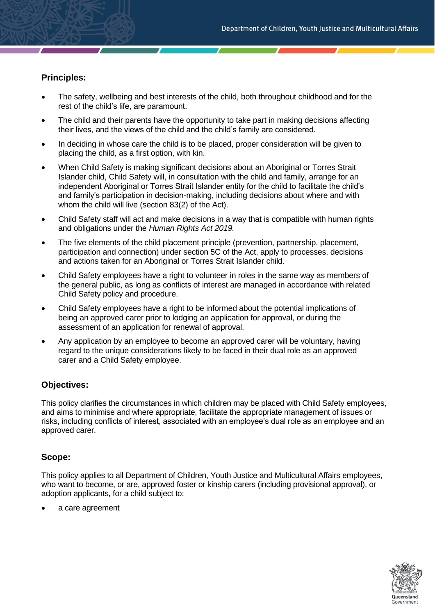# **Principles:**

- The safety, wellbeing and best interests of the child, both throughout childhood and for the rest of the child's life, are paramount.
- The child and their parents have the opportunity to take part in making decisions affecting their lives, and the views of the child and the child's family are considered.
- In deciding in whose care the child is to be placed, proper consideration will be given to placing the child, as a first option, with kin.
- When Child Safety is making significant decisions about an Aboriginal or Torres Strait Islander child, Child Safety will, in consultation with the child and family, arrange for an independent Aboriginal or Torres Strait Islander entity for the child to facilitate the child's and family's participation in decision-making, including decisions about where and with whom the child will live (section 83(2) of the Act).
- Child Safety staff will act and make decisions in a way that is compatible with human rights and obligations under the *Human Rights Act 2019.*
- The five elements of the child placement principle (prevention, partnership, placement, participation and connection) under section 5C of the Act, apply to processes, decisions and actions taken for an Aboriginal or Torres Strait Islander child.
- Child Safety employees have a right to volunteer in roles in the same way as members of the general public, as long as conflicts of interest are managed in accordance with related Child Safety policy and procedure.
- Child Safety employees have a right to be informed about the potential implications of being an approved carer prior to lodging an application for approval, or during the assessment of an application for renewal of approval.
- Any application by an employee to become an approved carer will be voluntary, having regard to the unique considerations likely to be faced in their dual role as an approved carer and a Child Safety employee.

## **Objectives:**

This policy clarifies the circumstances in which children may be placed with Child Safety employees, and aims to minimise and where appropriate, facilitate the appropriate management of issues or risks, including conflicts of interest, associated with an employee's dual role as an employee and an approved carer.

## **Scope:**

This policy applies to all Department of Children, Youth Justice and Multicultural Affairs employees, who want to become, or are, approved foster or kinship carers (including provisional approval), or adoption applicants, for a child subject to:

a care agreement

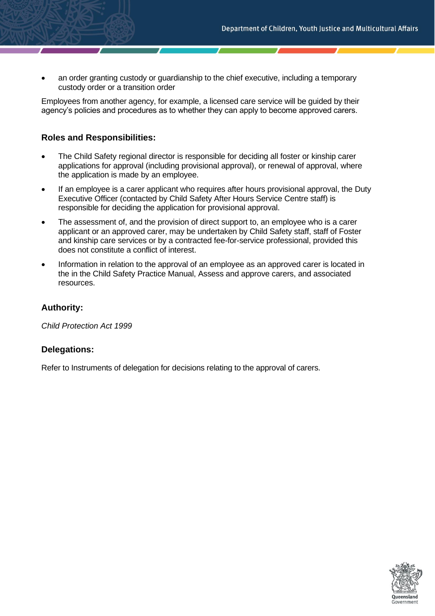• an order granting custody or guardianship to the chief executive, including a temporary custody order or a transition order

Employees from another agency, for example, a licensed care service will be guided by their agency's policies and procedures as to whether they can apply to become approved carers.

# **Roles and Responsibilities:**

- The Child Safety regional director is responsible for deciding all foster or kinship carer applications for approval (including provisional approval), or renewal of approval, where the application is made by an employee.
- If an employee is a carer applicant who requires after hours provisional approval, the Duty Executive Officer (contacted by Child Safety After Hours Service Centre staff) is responsible for deciding the application for provisional approval.
- The assessment of, and the provision of direct support to, an employee who is a carer applicant or an approved carer, may be undertaken by Child Safety staff, staff of Foster and kinship care services or by a contracted fee-for-service professional, provided this does not constitute a conflict of interest.
- Information in relation to the approval of an employee as an approved carer is located in the in the Child Safety Practice Manual, Assess and approve carers, and associated resources.

## **Authority:**

*Child Protection Act 1999*

## **Delegations:**

Refer to Instruments of delegation for decisions relating to the approval of carers.